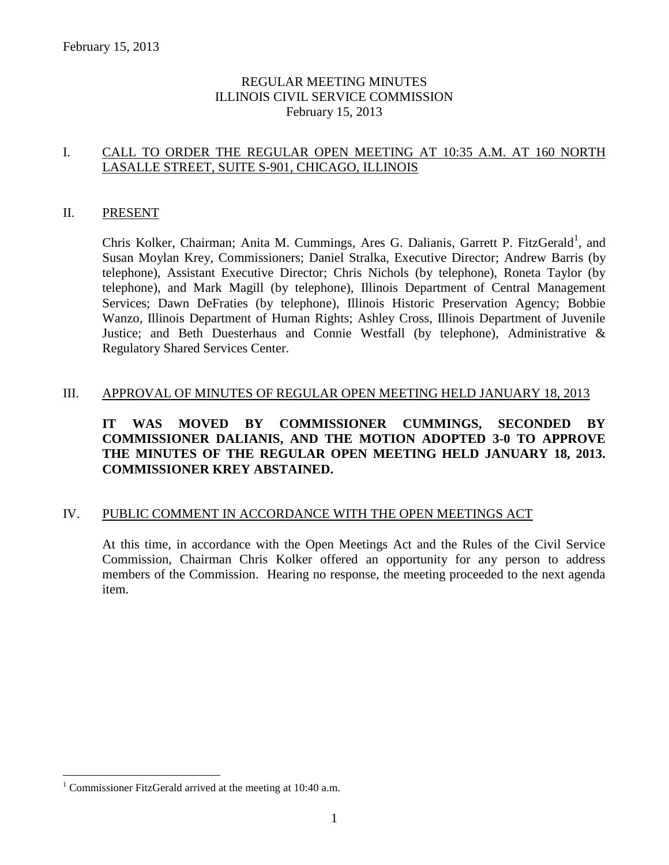## REGULAR MEETING MINUTES ILLINOIS CIVIL SERVICE COMMISSION February 15, 2013

## I. CALL TO ORDER THE REGULAR OPEN MEETING AT 10:35 A.M. AT 160 NORTH LASALLE STREET, SUITE S-901, CHICAGO, ILLINOIS

#### II. PRESENT

Chris Kolker, Chairman; Anita M. Cummings, Ares G. Dalianis, Garrett P. FitzGerald<sup>1</sup>, and Susan Moylan Krey, Commissioners; Daniel Stralka, Executive Director; Andrew Barris (by telephone), Assistant Executive Director; Chris Nichols (by telephone), Roneta Taylor (by telephone), and Mark Magill (by telephone), Illinois Department of Central Management Services; Dawn DeFraties (by telephone), Illinois Historic Preservation Agency; Bobbie Wanzo, Illinois Department of Human Rights; Ashley Cross, Illinois Department of Juvenile Justice; and Beth Duesterhaus and Connie Westfall (by telephone), Administrative & Regulatory Shared Services Center.

#### III. APPROVAL OF MINUTES OF REGULAR OPEN MEETING HELD JANUARY 18, 2013

## **IT WAS MOVED BY COMMISSIONER CUMMINGS, SECONDED BY COMMISSIONER DALIANIS, AND THE MOTION ADOPTED 3-0 TO APPROVE THE MINUTES OF THE REGULAR OPEN MEETING HELD JANUARY 18, 2013. COMMISSIONER KREY ABSTAINED.**

## IV. PUBLIC COMMENT IN ACCORDANCE WITH THE OPEN MEETINGS ACT

At this time, in accordance with the Open Meetings Act and the Rules of the Civil Service Commission, Chairman Chris Kolker offered an opportunity for any person to address members of the Commission. Hearing no response, the meeting proceeded to the next agenda item.

 $\overline{a}$ 

<sup>&</sup>lt;sup>1</sup> Commissioner FitzGerald arrived at the meeting at 10:40 a.m.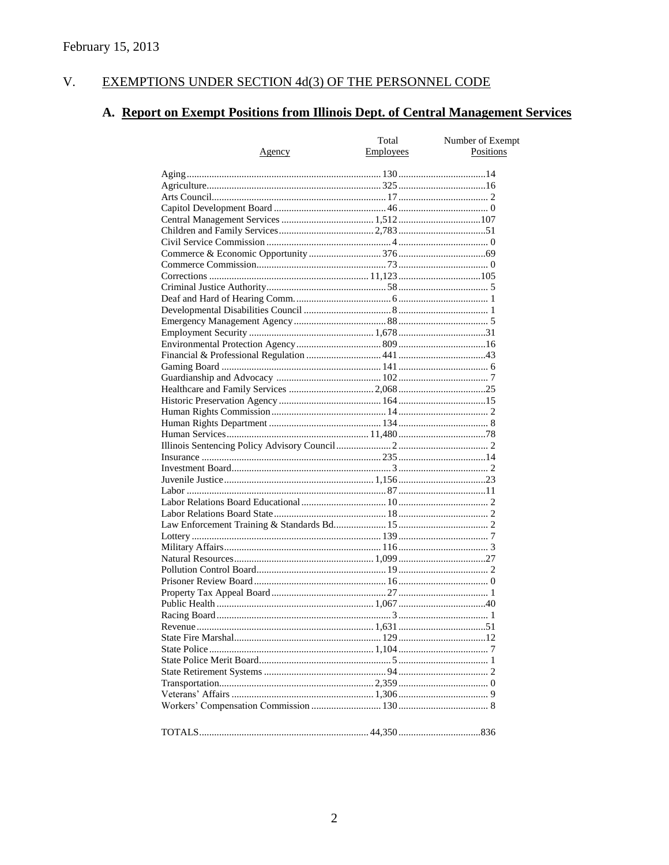#### $V<sub>1</sub>$ EXEMPTIONS UNDER SECTION 4d(3) OF THE PERSONNEL CODE

# A. Report on Exempt Positions from Illinois Dept. of Central Management Services

|               | Total     | Number of Exempt |
|---------------|-----------|------------------|
| <u>Agency</u> | Employees | Positions        |
|               |           |                  |
|               |           |                  |
|               |           |                  |
|               |           |                  |
|               |           |                  |
|               |           |                  |
|               |           |                  |
|               |           |                  |
|               |           |                  |
|               |           |                  |
|               |           |                  |
|               |           |                  |
|               |           |                  |
|               |           |                  |
|               |           |                  |
|               |           |                  |
|               |           |                  |
|               |           |                  |
|               |           |                  |
|               |           |                  |
|               |           |                  |
|               |           |                  |
|               |           |                  |
|               |           |                  |
|               |           |                  |
|               |           |                  |
|               |           |                  |
|               |           |                  |
|               |           |                  |
|               |           |                  |
|               |           |                  |
|               |           |                  |
|               |           |                  |
|               |           |                  |
|               |           |                  |
|               |           |                  |
|               |           |                  |
|               |           |                  |
|               |           |                  |
|               |           |                  |
|               |           |                  |
|               |           |                  |
|               |           |                  |
|               |           |                  |
|               |           |                  |
|               |           |                  |
|               |           |                  |
|               |           |                  |
|               |           |                  |
|               |           |                  |
|               |           |                  |
|               |           |                  |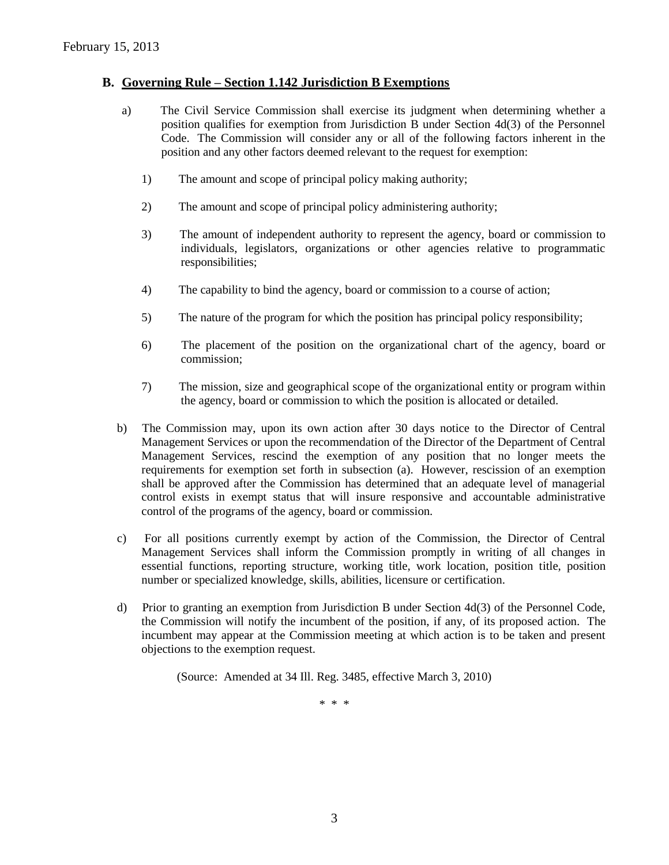#### **B. Governing Rule – Section 1.142 Jurisdiction B Exemptions**

- a) The Civil Service Commission shall exercise its judgment when determining whether a position qualifies for exemption from Jurisdiction B under Section 4d(3) of the Personnel Code. The Commission will consider any or all of the following factors inherent in the position and any other factors deemed relevant to the request for exemption:
	- 1) The amount and scope of principal policy making authority;
	- 2) The amount and scope of principal policy administering authority;
	- 3) The amount of independent authority to represent the agency, board or commission to individuals, legislators, organizations or other agencies relative to programmatic responsibilities;
	- 4) The capability to bind the agency, board or commission to a course of action;
	- 5) The nature of the program for which the position has principal policy responsibility;
	- 6) The placement of the position on the organizational chart of the agency, board or commission;
	- 7) The mission, size and geographical scope of the organizational entity or program within the agency, board or commission to which the position is allocated or detailed.
- b) The Commission may, upon its own action after 30 days notice to the Director of Central Management Services or upon the recommendation of the Director of the Department of Central Management Services, rescind the exemption of any position that no longer meets the requirements for exemption set forth in subsection (a). However, rescission of an exemption shall be approved after the Commission has determined that an adequate level of managerial control exists in exempt status that will insure responsive and accountable administrative control of the programs of the agency, board or commission.
- c) For all positions currently exempt by action of the Commission, the Director of Central Management Services shall inform the Commission promptly in writing of all changes in essential functions, reporting structure, working title, work location, position title, position number or specialized knowledge, skills, abilities, licensure or certification.
- d) Prior to granting an exemption from Jurisdiction B under Section 4d(3) of the Personnel Code, the Commission will notify the incumbent of the position, if any, of its proposed action. The incumbent may appear at the Commission meeting at which action is to be taken and present objections to the exemption request.

(Source: Amended at 34 Ill. Reg. 3485, effective March 3, 2010)

\* \* \*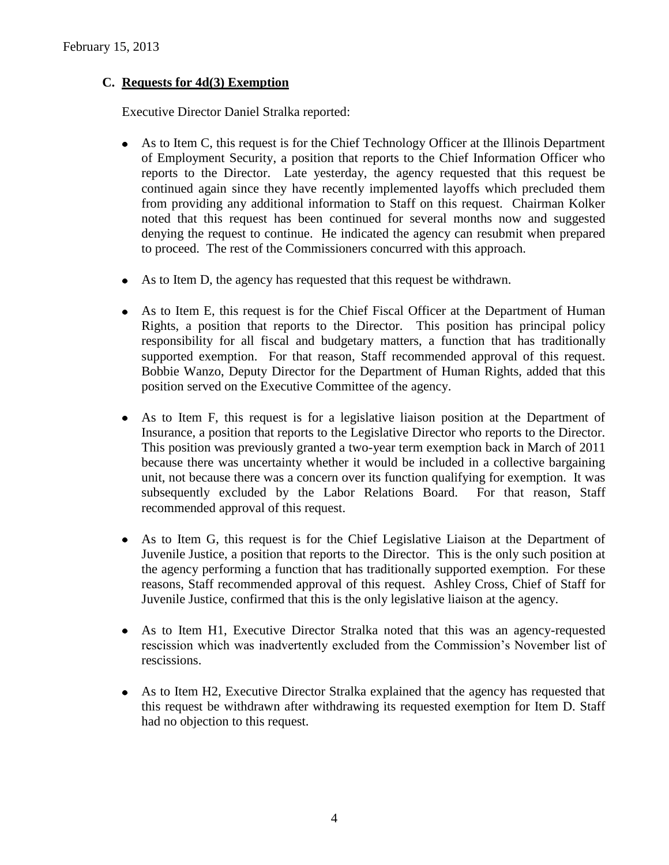## **C. Requests for 4d(3) Exemption**

Executive Director Daniel Stralka reported:

- As to Item C, this request is for the Chief Technology Officer at the Illinois Department of Employment Security, a position that reports to the Chief Information Officer who reports to the Director. Late yesterday, the agency requested that this request be continued again since they have recently implemented layoffs which precluded them from providing any additional information to Staff on this request. Chairman Kolker noted that this request has been continued for several months now and suggested denying the request to continue. He indicated the agency can resubmit when prepared to proceed. The rest of the Commissioners concurred with this approach.
- As to Item D, the agency has requested that this request be withdrawn.
- As to Item E, this request is for the Chief Fiscal Officer at the Department of Human Rights, a position that reports to the Director. This position has principal policy responsibility for all fiscal and budgetary matters, a function that has traditionally supported exemption. For that reason, Staff recommended approval of this request. Bobbie Wanzo, Deputy Director for the Department of Human Rights, added that this position served on the Executive Committee of the agency.
- As to Item F, this request is for a legislative liaison position at the Department of Insurance, a position that reports to the Legislative Director who reports to the Director. This position was previously granted a two-year term exemption back in March of 2011 because there was uncertainty whether it would be included in a collective bargaining unit, not because there was a concern over its function qualifying for exemption. It was subsequently excluded by the Labor Relations Board. For that reason, Staff recommended approval of this request.
- As to Item G, this request is for the Chief Legislative Liaison at the Department of Juvenile Justice, a position that reports to the Director. This is the only such position at the agency performing a function that has traditionally supported exemption. For these reasons, Staff recommended approval of this request. Ashley Cross, Chief of Staff for Juvenile Justice, confirmed that this is the only legislative liaison at the agency.
- As to Item H1, Executive Director Stralka noted that this was an agency-requested rescission which was inadvertently excluded from the Commission's November list of rescissions.
- As to Item H2, Executive Director Stralka explained that the agency has requested that this request be withdrawn after withdrawing its requested exemption for Item D. Staff had no objection to this request.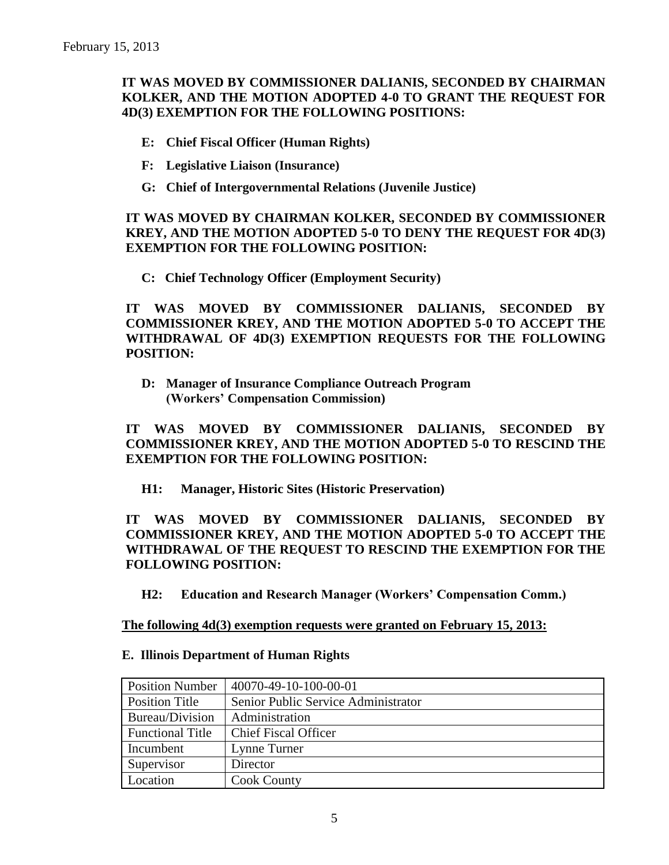## **IT WAS MOVED BY COMMISSIONER DALIANIS, SECONDED BY CHAIRMAN KOLKER, AND THE MOTION ADOPTED 4-0 TO GRANT THE REQUEST FOR 4D(3) EXEMPTION FOR THE FOLLOWING POSITIONS:**

- **E: Chief Fiscal Officer (Human Rights)**
- **F: Legislative Liaison (Insurance)**
- **G: Chief of Intergovernmental Relations (Juvenile Justice)**

### **IT WAS MOVED BY CHAIRMAN KOLKER, SECONDED BY COMMISSIONER KREY, AND THE MOTION ADOPTED 5-0 TO DENY THE REQUEST FOR 4D(3) EXEMPTION FOR THE FOLLOWING POSITION:**

**C: Chief Technology Officer (Employment Security)**

**IT WAS MOVED BY COMMISSIONER DALIANIS, SECONDED BY COMMISSIONER KREY, AND THE MOTION ADOPTED 5-0 TO ACCEPT THE WITHDRAWAL OF 4D(3) EXEMPTION REQUESTS FOR THE FOLLOWING POSITION:**

**D: Manager of Insurance Compliance Outreach Program (Workers' Compensation Commission)**

## **IT WAS MOVED BY COMMISSIONER DALIANIS, SECONDED BY COMMISSIONER KREY, AND THE MOTION ADOPTED 5-0 TO RESCIND THE EXEMPTION FOR THE FOLLOWING POSITION:**

**H1: Manager, Historic Sites (Historic Preservation)**

## **IT WAS MOVED BY COMMISSIONER DALIANIS, SECONDED BY COMMISSIONER KREY, AND THE MOTION ADOPTED 5-0 TO ACCEPT THE WITHDRAWAL OF THE REQUEST TO RESCIND THE EXEMPTION FOR THE FOLLOWING POSITION:**

**H2: Education and Research Manager (Workers' Compensation Comm.)**

#### **The following 4d(3) exemption requests were granted on February 15, 2013:**

| <b>Position Number</b>  | 40070-49-10-100-00-01               |
|-------------------------|-------------------------------------|
| Position Title          | Senior Public Service Administrator |
| Bureau/Division         | Administration                      |
| <b>Functional Title</b> | <b>Chief Fiscal Officer</b>         |
| Incumbent               | Lynne Turner                        |
| Supervisor              | Director                            |
| Location                | <b>Cook County</b>                  |

#### **E. Illinois Department of Human Rights**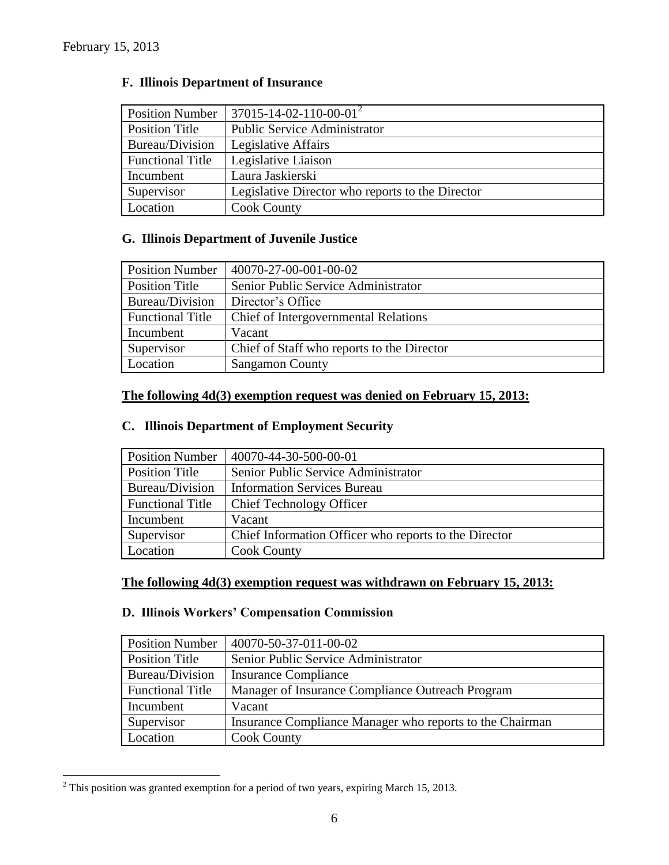| <b>Position Number</b>  | $37015 - 14 - 02 - 110 - 00 - 01^2$              |
|-------------------------|--------------------------------------------------|
| Position Title          | <b>Public Service Administrator</b>              |
| Bureau/Division         | Legislative Affairs                              |
| <b>Functional Title</b> | Legislative Liaison                              |
| Incumbent               | Laura Jaskierski                                 |
| Supervisor              | Legislative Director who reports to the Director |
| Location                | <b>Cook County</b>                               |

## **F. Illinois Department of Insurance**

## **G. Illinois Department of Juvenile Justice**

| <b>Position Number</b>  | 40070-27-00-001-00-02                      |
|-------------------------|--------------------------------------------|
| <b>Position Title</b>   | Senior Public Service Administrator        |
| Bureau/Division         | Director's Office                          |
| <b>Functional Title</b> | Chief of Intergovernmental Relations       |
| Incumbent               | Vacant                                     |
| Supervisor              | Chief of Staff who reports to the Director |
| Location                | <b>Sangamon County</b>                     |

## **The following 4d(3) exemption request was denied on February 15, 2013:**

### **C. Illinois Department of Employment Security**

| <b>Position Number</b>  | 40070-44-30-500-00-01                                 |
|-------------------------|-------------------------------------------------------|
| <b>Position Title</b>   | Senior Public Service Administrator                   |
| Bureau/Division         | <b>Information Services Bureau</b>                    |
| <b>Functional Title</b> | <b>Chief Technology Officer</b>                       |
| Incumbent               | Vacant                                                |
| Supervisor              | Chief Information Officer who reports to the Director |
| Location                | <b>Cook County</b>                                    |

## **The following 4d(3) exemption request was withdrawn on February 15, 2013:**

## **D. Illinois Workers' Compensation Commission**

| <b>Position Number</b>  | 40070-50-37-011-00-02                                    |
|-------------------------|----------------------------------------------------------|
| Position Title          | Senior Public Service Administrator                      |
| Bureau/Division         | <b>Insurance Compliance</b>                              |
| <b>Functional Title</b> | Manager of Insurance Compliance Outreach Program         |
| Incumbent               | Vacant                                                   |
| Supervisor              | Insurance Compliance Manager who reports to the Chairman |
| Location                | <b>Cook County</b>                                       |

 $\overline{a}$  $2^2$  This position was granted exemption for a period of two years, expiring March 15, 2013.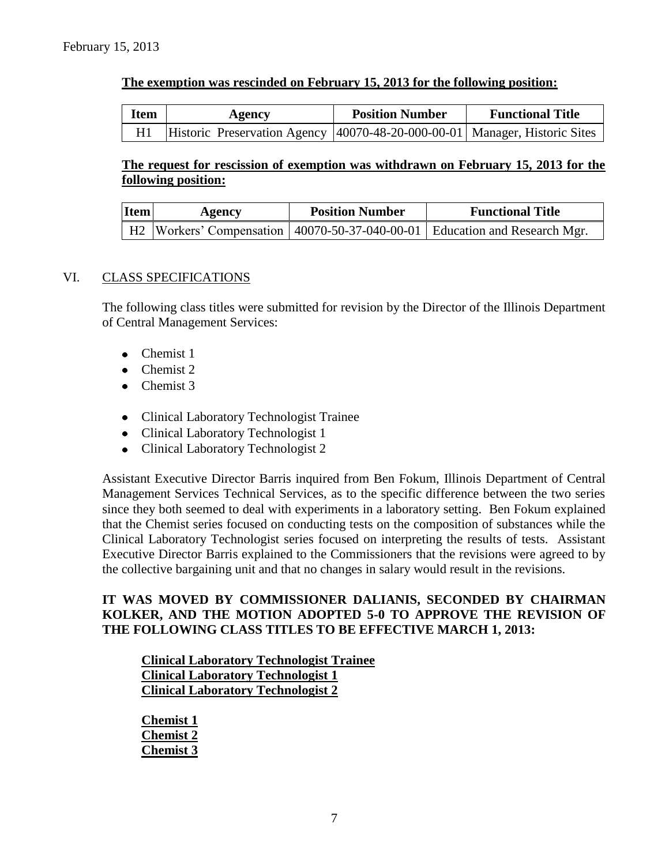## **The exemption was rescinded on February 15, 2013 for the following position:**

| <b>Item</b> | Agency                                                                     | <b>Position Number</b> | <b>Functional Title</b> |
|-------------|----------------------------------------------------------------------------|------------------------|-------------------------|
|             | Historic Preservation Agency 40070-48-20-000-00-01 Manager, Historic Sites |                        |                         |

## **The request for rescission of exemption was withdrawn on February 15, 2013 for the following position:**

| Item | Agency | <b>Position Number</b> | <b>Functional Title</b>                                                         |  |
|------|--------|------------------------|---------------------------------------------------------------------------------|--|
|      |        |                        | H2  Workers' Compensation   40070-50-37-040-00-01   Education and Research Mgr. |  |

### VI. CLASS SPECIFICATIONS

The following class titles were submitted for revision by the Director of the Illinois Department of Central Management Services:

- Chemist 1  $\bullet$
- Chemist 2
- Chemist 3
- Clinical Laboratory Technologist Trainee
- Clinical Laboratory Technologist 1
- Clinical Laboratory Technologist 2

Assistant Executive Director Barris inquired from Ben Fokum, Illinois Department of Central Management Services Technical Services, as to the specific difference between the two series since they both seemed to deal with experiments in a laboratory setting. Ben Fokum explained that the Chemist series focused on conducting tests on the composition of substances while the Clinical Laboratory Technologist series focused on interpreting the results of tests. Assistant Executive Director Barris explained to the Commissioners that the revisions were agreed to by the collective bargaining unit and that no changes in salary would result in the revisions.

## **IT WAS MOVED BY COMMISSIONER DALIANIS, SECONDED BY CHAIRMAN KOLKER, AND THE MOTION ADOPTED 5-0 TO APPROVE THE REVISION OF THE FOLLOWING CLASS TITLES TO BE EFFECTIVE MARCH 1, 2013:**

**Clinical Laboratory Technologist Trainee Clinical Laboratory Technologist 1 Clinical Laboratory Technologist 2**

**Chemist 1 Chemist 2 Chemist 3**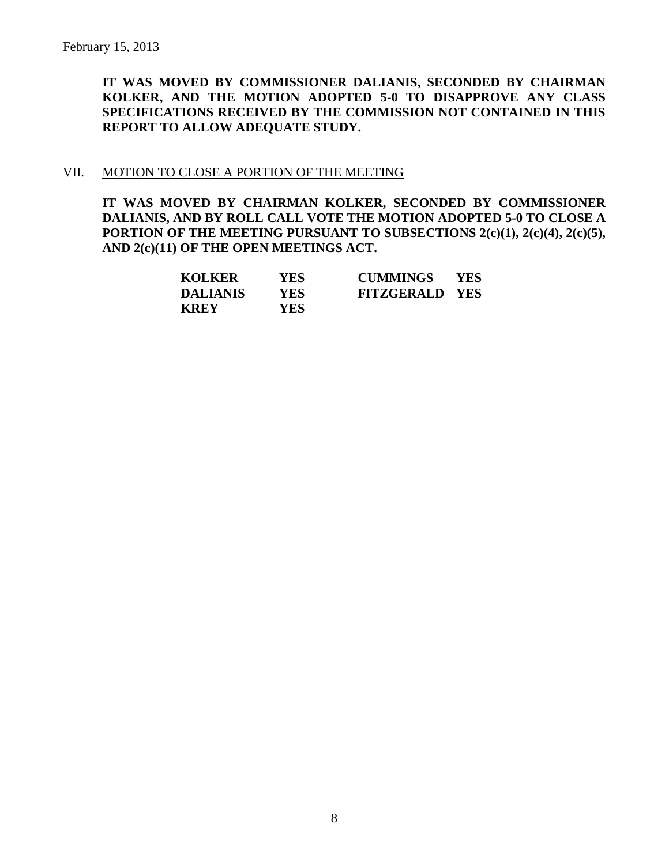**IT WAS MOVED BY COMMISSIONER DALIANIS, SECONDED BY CHAIRMAN KOLKER, AND THE MOTION ADOPTED 5-0 TO DISAPPROVE ANY CLASS SPECIFICATIONS RECEIVED BY THE COMMISSION NOT CONTAINED IN THIS REPORT TO ALLOW ADEQUATE STUDY.** 

#### VII. MOTION TO CLOSE A PORTION OF THE MEETING

**IT WAS MOVED BY CHAIRMAN KOLKER, SECONDED BY COMMISSIONER DALIANIS, AND BY ROLL CALL VOTE THE MOTION ADOPTED 5-0 TO CLOSE A PORTION OF THE MEETING PURSUANT TO SUBSECTIONS 2(c)(1), 2(c)(4), 2(c)(5), AND 2(c)(11) OF THE OPEN MEETINGS ACT.**

| <b>KOLKER</b>   | YES | <b>CUMMINGS</b>       | <b>YES</b> |
|-----------------|-----|-----------------------|------------|
| <b>DALIANIS</b> | YES | <b>FITZGERALD YES</b> |            |
| <b>KREY</b>     | YES |                       |            |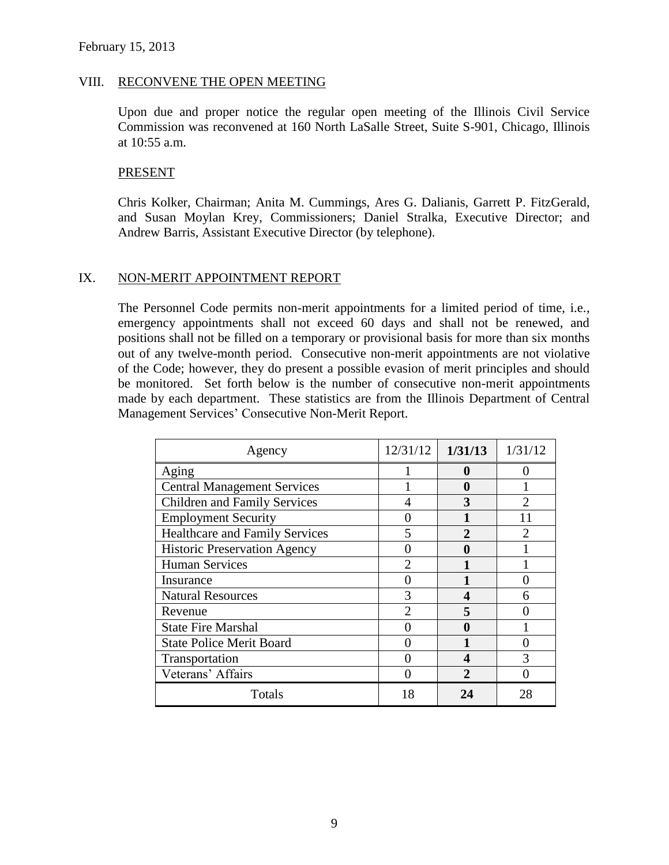#### VIII. RECONVENE THE OPEN MEETING

Upon due and proper notice the regular open meeting of the Illinois Civil Service Commission was reconvened at 160 North LaSalle Street, Suite S-901, Chicago, Illinois at 10:55 a.m.

#### PRESENT

Chris Kolker, Chairman; Anita M. Cummings, Ares G. Dalianis, Garrett P. FitzGerald, and Susan Moylan Krey, Commissioners; Daniel Stralka, Executive Director; and Andrew Barris, Assistant Executive Director (by telephone).

#### IX. NON-MERIT APPOINTMENT REPORT

The Personnel Code permits non-merit appointments for a limited period of time, i.e., emergency appointments shall not exceed 60 days and shall not be renewed, and positions shall not be filled on a temporary or provisional basis for more than six months out of any twelve-month period. Consecutive non-merit appointments are not violative of the Code; however, they do present a possible evasion of merit principles and should be monitored. Set forth below is the number of consecutive non-merit appointments made by each department. These statistics are from the Illinois Department of Central Management Services' Consecutive Non-Merit Report.

| Agency                                | 12/31/12       | 1/31/13               | 1/31/12 |
|---------------------------------------|----------------|-----------------------|---------|
| Aging                                 |                | 0                     |         |
| <b>Central Management Services</b>    |                | 0                     |         |
| <b>Children and Family Services</b>   |                | 3                     |         |
| <b>Employment Security</b>            |                |                       |         |
| <b>Healthcare and Family Services</b> | 5              | $\mathfrak{D}$        | っ       |
| <b>Historic Preservation Agency</b>   |                | N                     |         |
| <b>Human Services</b>                 |                |                       |         |
| Insurance                             |                |                       |         |
| <b>Natural Resources</b>              | 3              | 4                     |         |
| Revenue                               | $\mathfrak{D}$ |                       |         |
| <b>State Fire Marshal</b>             |                | 0                     |         |
| <b>State Police Merit Board</b>       |                |                       |         |
| Transportation                        |                | 4                     |         |
| Veterans' Affairs                     |                | $\mathcal{D}_{\cdot}$ |         |
| Totals                                | 18             | 24                    | 28      |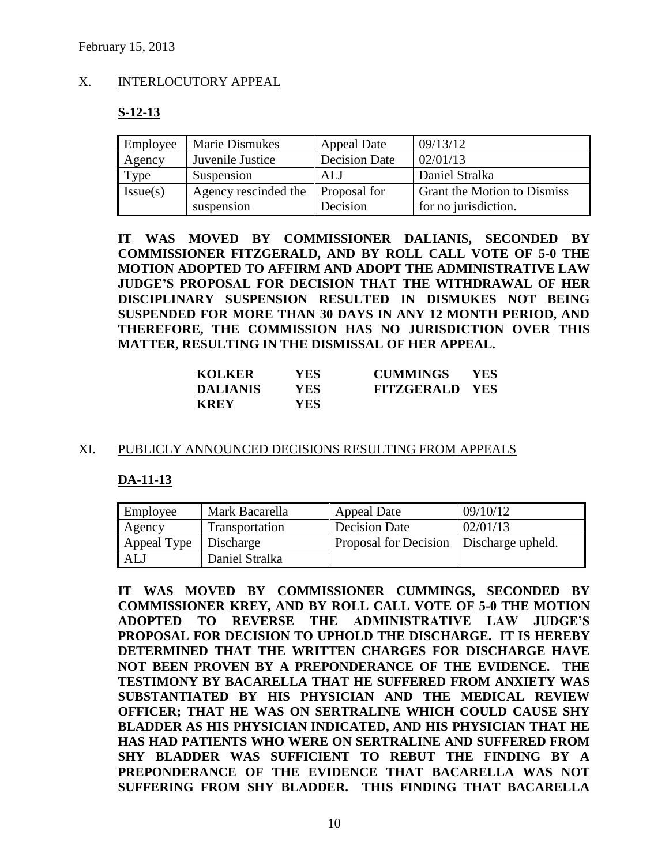## X. INTERLOCUTORY APPEAL

#### **S-12-13**

| Employee | <b>Marie Dismukes</b> | Appeal Date          | 09/13/12                           |
|----------|-----------------------|----------------------|------------------------------------|
| Agency   | Juvenile Justice      | <b>Decision Date</b> | 02/01/13                           |
| Type     | Suspension            | ALJ                  | Daniel Stralka                     |
| Issue(s) | Agency rescinded the  | <b>Proposal for</b>  | <b>Grant the Motion to Dismiss</b> |
|          | suspension            | Decision             | for no jurisdiction.               |

**IT WAS MOVED BY COMMISSIONER DALIANIS, SECONDED BY COMMISSIONER FITZGERALD, AND BY ROLL CALL VOTE OF 5-0 THE MOTION ADOPTED TO AFFIRM AND ADOPT THE ADMINISTRATIVE LAW JUDGE'S PROPOSAL FOR DECISION THAT THE WITHDRAWAL OF HER DISCIPLINARY SUSPENSION RESULTED IN DISMUKES NOT BEING SUSPENDED FOR MORE THAN 30 DAYS IN ANY 12 MONTH PERIOD, AND THEREFORE, THE COMMISSION HAS NO JURISDICTION OVER THIS MATTER, RESULTING IN THE DISMISSAL OF HER APPEAL.**

| <b>KOLKER</b>   | YES. | <b>CUMMINGS</b>       | <b>YES</b> |
|-----------------|------|-----------------------|------------|
| <b>DALIANIS</b> | YES. | <b>FITZGERALD YES</b> |            |
| <b>KREY</b>     | YES. |                       |            |

#### XI. PUBLICLY ANNOUNCED DECISIONS RESULTING FROM APPEALS

#### **DA-11-13**

| Employee              | Mark Bacarella | Appeal Date                               | 09/10/12 |
|-----------------------|----------------|-------------------------------------------|----------|
| Agency                | Transportation | Decision Date                             | 02/01/13 |
| Appeal Type Discharge |                | Proposal for Decision   Discharge upheld. |          |
| ALJ                   | Daniel Stralka |                                           |          |

**IT WAS MOVED BY COMMISSIONER CUMMINGS, SECONDED BY COMMISSIONER KREY, AND BY ROLL CALL VOTE OF 5-0 THE MOTION ADOPTED TO REVERSE THE ADMINISTRATIVE LAW JUDGE'S PROPOSAL FOR DECISION TO UPHOLD THE DISCHARGE. IT IS HEREBY DETERMINED THAT THE WRITTEN CHARGES FOR DISCHARGE HAVE NOT BEEN PROVEN BY A PREPONDERANCE OF THE EVIDENCE. THE TESTIMONY BY BACARELLA THAT HE SUFFERED FROM ANXIETY WAS SUBSTANTIATED BY HIS PHYSICIAN AND THE MEDICAL REVIEW OFFICER; THAT HE WAS ON SERTRALINE WHICH COULD CAUSE SHY BLADDER AS HIS PHYSICIAN INDICATED, AND HIS PHYSICIAN THAT HE HAS HAD PATIENTS WHO WERE ON SERTRALINE AND SUFFERED FROM SHY BLADDER WAS SUFFICIENT TO REBUT THE FINDING BY A PREPONDERANCE OF THE EVIDENCE THAT BACARELLA WAS NOT SUFFERING FROM SHY BLADDER. THIS FINDING THAT BACARELLA**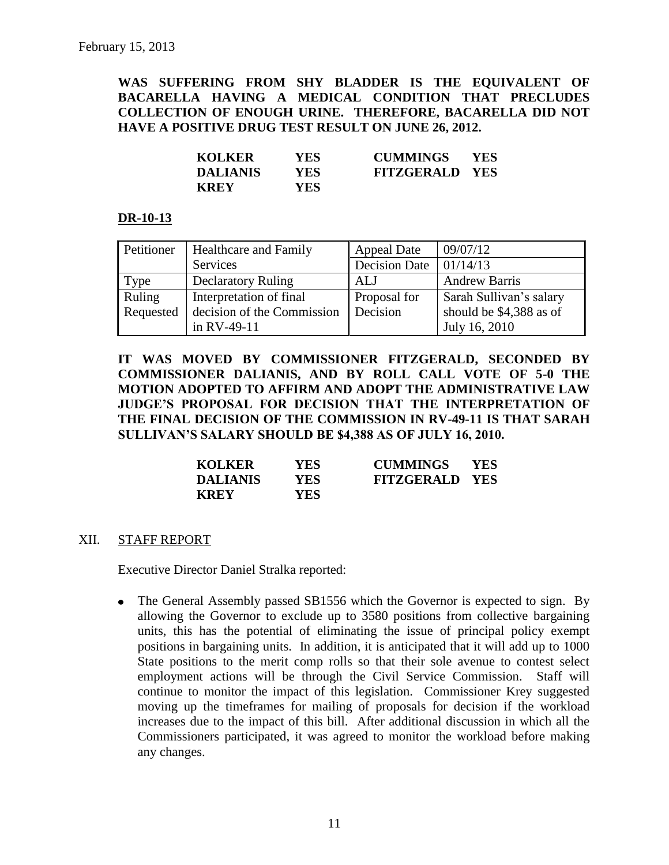**WAS SUFFERING FROM SHY BLADDER IS THE EQUIVALENT OF BACARELLA HAVING A MEDICAL CONDITION THAT PRECLUDES COLLECTION OF ENOUGH URINE. THEREFORE, BACARELLA DID NOT HAVE A POSITIVE DRUG TEST RESULT ON JUNE 26, 2012.** 

| <b>KOLKER</b>   | YES  | <b>CUMMINGS</b>       | YES. |
|-----------------|------|-----------------------|------|
| <b>DALIANIS</b> | YES  | <b>FITZGERALD YES</b> |      |
| <b>KREY</b>     | YES. |                       |      |

#### **DR-10-13**

| Petitioner | <b>Healthcare and Family</b> | <b>Appeal Date</b>   | 09/07/12                |
|------------|------------------------------|----------------------|-------------------------|
|            | <b>Services</b>              | <b>Decision Date</b> | 01/14/13                |
| Type       | <b>Declaratory Ruling</b>    | ALJ                  | <b>Andrew Barris</b>    |
| Ruling     | Interpretation of final      | <b>Proposal for</b>  | Sarah Sullivan's salary |
| Requested  | decision of the Commission   | Decision             | should be \$4,388 as of |
|            | in RV-49-11                  |                      | July 16, 2010           |

**IT WAS MOVED BY COMMISSIONER FITZGERALD, SECONDED BY COMMISSIONER DALIANIS, AND BY ROLL CALL VOTE OF 5-0 THE MOTION ADOPTED TO AFFIRM AND ADOPT THE ADMINISTRATIVE LAW JUDGE'S PROPOSAL FOR DECISION THAT THE INTERPRETATION OF THE FINAL DECISION OF THE COMMISSION IN RV-49-11 IS THAT SARAH SULLIVAN'S SALARY SHOULD BE \$4,388 AS OF JULY 16, 2010.** 

| <b>KOLKER</b>   | YES. | <b>CUMMINGS</b>       | <b>YES</b> |
|-----------------|------|-----------------------|------------|
| <b>DALIANIS</b> | YES. | <b>FITZGERALD YES</b> |            |
| <b>KREY</b>     | YES. |                       |            |

#### XII. STAFF REPORT

Executive Director Daniel Stralka reported:

• The General Assembly passed SB1556 which the Governor is expected to sign. By allowing the Governor to exclude up to 3580 positions from collective bargaining units, this has the potential of eliminating the issue of principal policy exempt positions in bargaining units. In addition, it is anticipated that it will add up to 1000 State positions to the merit comp rolls so that their sole avenue to contest select employment actions will be through the Civil Service Commission. Staff will continue to monitor the impact of this legislation. Commissioner Krey suggested moving up the timeframes for mailing of proposals for decision if the workload increases due to the impact of this bill. After additional discussion in which all the Commissioners participated, it was agreed to monitor the workload before making any changes.